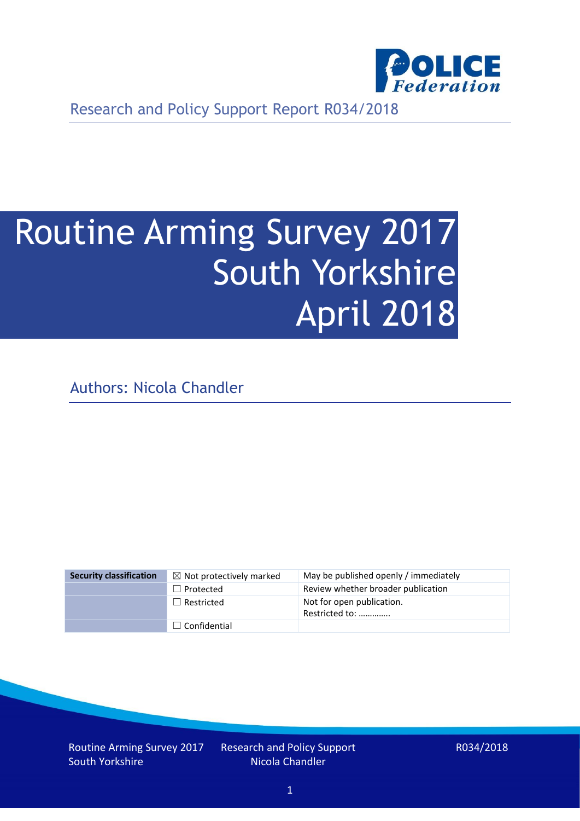

Research and Policy Support Report R034/2018

# Routine Arming Survey 2017 South Yorkshire April 2018

Authors: Nicola Chandler

| <b>Security classification</b> | $\boxtimes$ Not protectively marked | May be published openly / immediately       |
|--------------------------------|-------------------------------------|---------------------------------------------|
|                                | $\Box$ Protected                    | Review whether broader publication          |
|                                | $\Box$ Restricted                   | Not for open publication.<br>Restricted to: |
|                                | $\Box$ Confidential                 |                                             |

Routine Arming Survey 2017 South Yorkshire

Research and Policy Support Nicola Chandler

R034/2018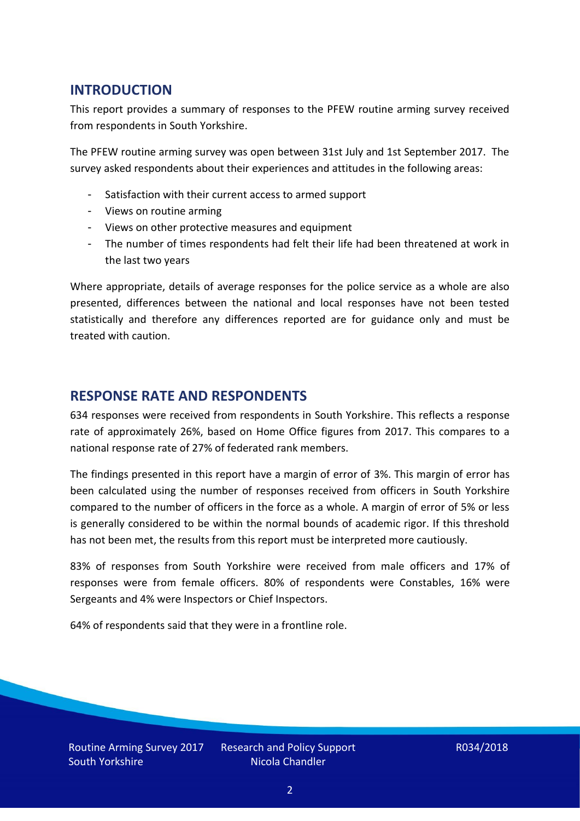## **INTRODUCTION**

This report provides a summary of responses to the PFEW routine arming survey received from respondents in South Yorkshire.

The PFEW routine arming survey was open between 31st July and 1st September 2017. The survey asked respondents about their experiences and attitudes in the following areas:

- Satisfaction with their current access to armed support
- Views on routine arming
- Views on other protective measures and equipment
- The number of times respondents had felt their life had been threatened at work in the last two years

Where appropriate, details of average responses for the police service as a whole are also presented, differences between the national and local responses have not been tested statistically and therefore any differences reported are for guidance only and must be treated with caution.

#### **RESPONSE RATE AND RESPONDENTS**

634 responses were received from respondents in South Yorkshire. This reflects a response rate of approximately 26%, based on Home Office figures from 2017. This compares to a national response rate of 27% of federated rank members.

The findings presented in this report have a margin of error of 3%. This margin of error has been calculated using the number of responses received from officers in South Yorkshire compared to the number of officers in the force as a whole. A margin of error of 5% or less is generally considered to be within the normal bounds of academic rigor. If this threshold has not been met, the results from this report must be interpreted more cautiously.

83% of responses from South Yorkshire were received from male officers and 17% of responses were from female officers. 80% of respondents were Constables, 16% were Sergeants and 4% were Inspectors or Chief Inspectors.

64% of respondents said that they were in a frontline role.

Routine Arming Survey 2017 South Yorkshire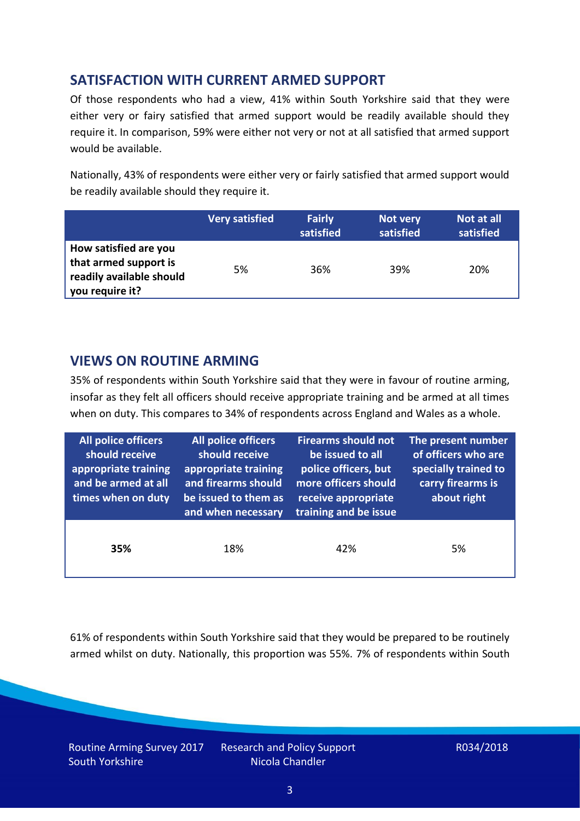## **SATISFACTION WITH CURRENT ARMED SUPPORT**

Of those respondents who had a view, 41% within South Yorkshire said that they were either very or fairy satisfied that armed support would be readily available should they require it. In comparison, 59% were either not very or not at all satisfied that armed support would be available.

Nationally, 43% of respondents were either very or fairly satisfied that armed support would be readily available should they require it.

|                                                                                               | <b>Very satisfied</b> | <b>Fairly</b><br>satisfied | Not very<br>satisfied | Not at all<br>satisfied |
|-----------------------------------------------------------------------------------------------|-----------------------|----------------------------|-----------------------|-------------------------|
| How satisfied are you<br>that armed support is<br>readily available should<br>you require it? | 5%                    | 36%                        | 39%                   | 20%                     |

## **VIEWS ON ROUTINE ARMING**

35% of respondents within South Yorkshire said that they were in favour of routine arming, insofar as they felt all officers should receive appropriate training and be armed at all times when on duty. This compares to 34% of respondents across England and Wales as a whole.

| All police officers<br>should receive<br>appropriate training<br>and be armed at all<br>times when on duty | All police officers<br>should receive<br>appropriate training<br>and firearms should<br>be issued to them as<br>and when necessary | <b>Firearms should not</b><br>be issued to all<br>police officers, but<br>more officers should<br>receive appropriate<br>training and be issue | The present number<br>of officers who are<br>specially trained to<br>carry firearms is<br>about right |  |
|------------------------------------------------------------------------------------------------------------|------------------------------------------------------------------------------------------------------------------------------------|------------------------------------------------------------------------------------------------------------------------------------------------|-------------------------------------------------------------------------------------------------------|--|
| 35%                                                                                                        | 18%                                                                                                                                | 42%                                                                                                                                            | 5%                                                                                                    |  |

61% of respondents within South Yorkshire said that they would be prepared to be routinely armed whilst on duty. Nationally, this proportion was 55%. 7% of respondents within South

Routine Arming Survey 2017 South Yorkshire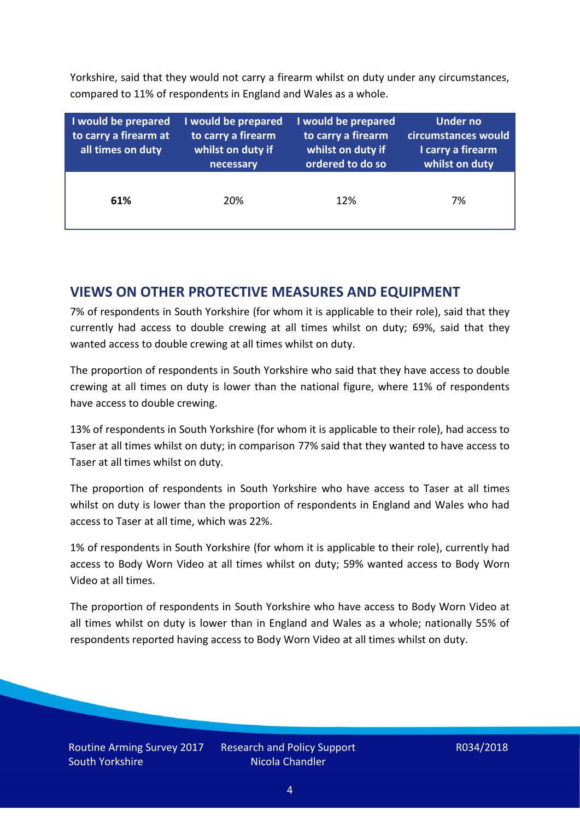Yorkshire, said that they would not carry a firearm whilst on duty under any circumstances, compared to 11% of respondents in England and Wales as a whole.

| I would be prepared<br>to carry a firearm at<br>all times on duty | I would be prepared<br>to carry a firearm<br>whilst on duty if<br>necessary | I would be prepared<br>to carry a firearm<br>whilst on duty if<br>ordered to do so | Under no<br>circumstances would<br>I carry a firearm<br>whilst on duty |  |  |
|-------------------------------------------------------------------|-----------------------------------------------------------------------------|------------------------------------------------------------------------------------|------------------------------------------------------------------------|--|--|
| 61%                                                               | 20%                                                                         | 12%                                                                                | 7%                                                                     |  |  |

### **VIEWS ON OTHER PROTECTIVE MEASURES AND EQUIPMENT**

7% of respondents in South Yorkshire (for whom it is applicable to their role), said that they currently had access to double crewing at all times whilst on duty; 69%, said that they wanted access to double crewing at all times whilst on duty.

The proportion of respondents in South Yorkshire who said that they have access to double crewing at all times on duty is lower than the national figure, where 11% of respondents have access to double crewing.

13% of respondents in South Yorkshire (for whom it is applicable to their role), had access to Taser at all times whilst on duty; in comparison 77% said that they wanted to have access to Taser at all times whilst on duty.

The proportion of respondents in South Yorkshire who have access to Taser at all times whilst on duty is lower than the proportion of respondents in England and Wales who had access to Taser at all time, which was 22%.

1% of respondents in South Yorkshire (for whom it is applicable to their role), currently had access to Body Worn Video at all times whilst on duty; 59% wanted access to Body Worn Video at all times.

The proportion of respondents in South Yorkshire who have access to Body Worn Video at all times whilst on duty is lower than in England and Wales as a whole; nationally 55% of respondents reported having access to Body Worn Video at all times whilst on duty.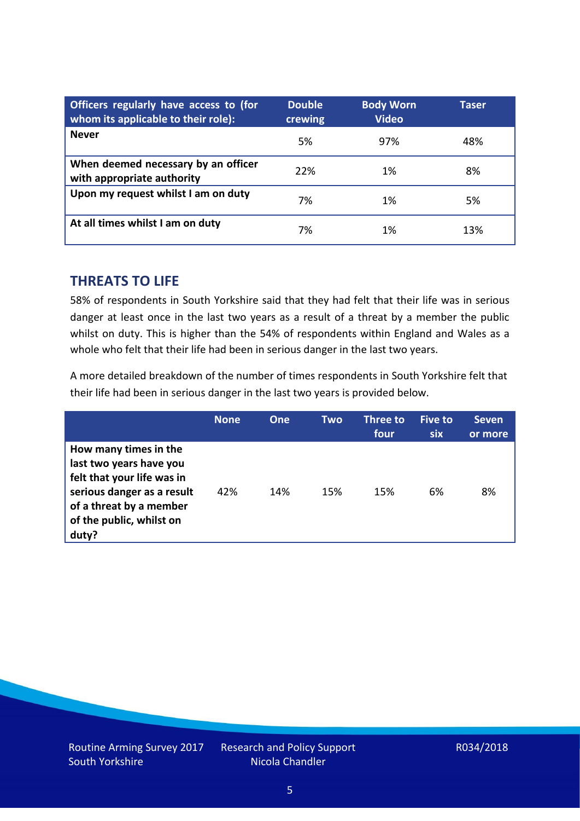| Officers regularly have access to (for<br>whom its applicable to their role): | <b>Double</b><br>crewing | <b>Body Worn</b><br><b>Video</b> | Taser |
|-------------------------------------------------------------------------------|--------------------------|----------------------------------|-------|
| <b>Never</b>                                                                  | 5%                       | 97%                              | 48%   |
| When deemed necessary by an officer<br>with appropriate authority             | 22%                      | 1%                               | 8%    |
| Upon my request whilst I am on duty                                           | 7%                       | 1%                               | 5%    |
| At all times whilst I am on duty                                              | 7%                       | 1%                               | 13%   |

#### **THREATS TO LIFE**

58% of respondents in South Yorkshire said that they had felt that their life was in serious danger at least once in the last two years as a result of a threat by a member the public whilst on duty. This is higher than the 54% of respondents within England and Wales as a whole who felt that their life had been in serious danger in the last two years.

A more detailed breakdown of the number of times respondents in South Yorkshire felt that their life had been in serious danger in the last two years is provided below.

|                                                                                                                                                                              | <b>None</b> | One | Two | Three to<br>four | Five to<br><b>six</b> | <b>Seven</b><br>or more |
|------------------------------------------------------------------------------------------------------------------------------------------------------------------------------|-------------|-----|-----|------------------|-----------------------|-------------------------|
| How many times in the<br>last two years have you<br>felt that your life was in<br>serious danger as a result<br>of a threat by a member<br>of the public, whilst on<br>duty? | 42%         | 14% | 15% | 15%              | 6%                    | 8%                      |